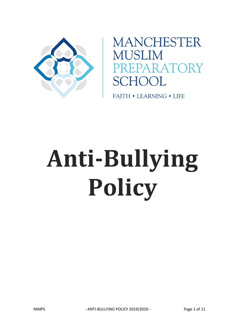

**MANCHESTER MUSLIM SCHOOL** 

**FAITH • LEARNING • LIFE** 

# **Anti-Bullying Policy**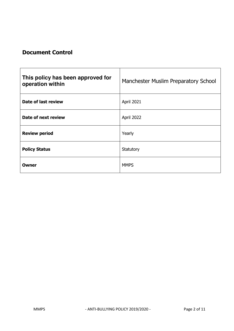# **Document Control**

| This policy has been approved for<br>operation within | Manchester Muslim Preparatory School |
|-------------------------------------------------------|--------------------------------------|
| Date of last review                                   | April 2021                           |
| Date of next review                                   | April 2022                           |
| <b>Review period</b>                                  | Yearly                               |
| <b>Policy Status</b>                                  | Statutory                            |
| Owner                                                 | <b>MMPS</b>                          |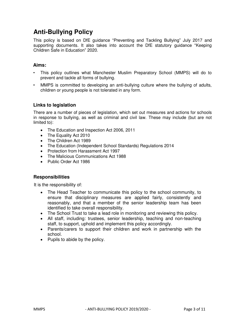# **Anti-Bullying Policy**

This policy is based on DfE guidance "Preventing and Tackling Bullying" July 2017 and supporting documents. It also takes into account the DfE statutory guidance "[Keeping](https://www.gov.uk/government/publications/keeping-children-safe-in-education--2)  [Children Safe in Education](https://www.gov.uk/government/publications/keeping-children-safe-in-education--2)["](https://www.gov.uk/government/publications/keeping-children-safe-in-education--2) 2020.

#### **Aims:**

- This policy outlines what Manchester Muslim Preparatory School (MMPS) will do to prevent and tackle all forms of bullying.
- MMPS is committed to developing an anti-bullying culture where the bullying of adults, children or young people is not tolerated in any form.

#### **Links to legislation**

There are a number of pieces of legislation, which set out measures and actions for schools in response to bullying, as well as criminal and civil law. These may include (but are not limited to):

- The Education and Inspection Act 2006, 2011
- The Equality Act 2010
- The Children Act 1989
- The Education (Independent School Standards) Regulations 2014
- Protection from Harassment Act 1997
- The Malicious Communications Act 1988
- Public Order Act 1986

#### **Responsibilities**

It is the responsibility of:

- The Head Teacher to communicate this policy to the school community, to ensure that disciplinary measures are applied fairly, consistently and reasonably, and that a member of the senior leadership team has been identified to take overall responsibility.
- The School Trust to take a lead role in monitoring and reviewing this policy.
- All staff, including: trustees, senior leadership, teaching and non-teaching staff, to support, uphold and implement this policy accordingly.
- Parents/carers to support their children and work in partnership with the school.
- Pupils to abide by the policy.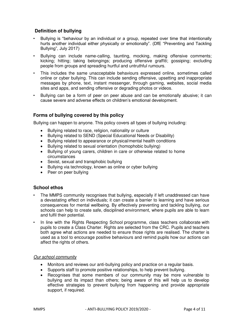## **Definition of bullying**

- Bullying is "behaviour by an individual or a group, repeated over time that intentionally hurts another individual either physically or emotionally". (DfE "Preventing and Tackling Bullying", July 2017)
- Bullying can include name-calling, taunting, mocking, making offensive comments; kicking; hitting; taking belongings; producing offensive graffiti; gossiping; excluding people from groups and spreading hurtful and untruthful rumours.
- This includes the same unacceptable behaviours expressed online, sometimes called online or cyber bullying. This can include sending offensive, upsetting and inappropriate messages by phone, text, instant messenger, through gaming, websites, social media sites and apps, and sending offensive or degrading photos or videos.
- Bullying can be a form of peer on peer abuse and can be emotionally abusive; it can cause severe and adverse effects on children's emotional development.

#### **Forms of bullying covered by this policy**

Bullying can happen to anyone. This policy covers all types of bullying including:

- Bullying related to race, religion, nationality or culture
- Bullying related to SEND (Special Educational Needs or Disability)
- Bullying related to appearance or physical/mental health conditions
- Bullying related to sexual orientation (homophobic bullying)
- Bullying of young carers, children in care or otherwise related to home circumstances
- Sexist, sexual and transphobic bullying
- Bullying via technology, known as online or cyber bullying
- Peer on peer bullying

#### **School ethos**

- The MMPS community recognises that bullying, especially if left unaddressed can have a devastating effect on individuals; it can create a barrier to learning and have serious consequences for mental wellbeing. By effectively preventing and tackling bullying, our schools can help to create safe, disciplined environment, where pupils are able to learn and fulfil their potential.
- In line with the Rights Respecting School programme, class teachers collaborate with pupils to create a Class Charter. Rights are selected from the CRC. Pupils and teachers both agree what actions are needed to ensure those rights are realised. The charter is used as a tool to encourage positive behaviours and remind pupils how our actions can affect the rights of others.

#### *Our school community*

- Monitors and reviews our anti-bullying policy and practice on a regular basis.
- Supports staff to promote positive relationships, to help prevent bullying.
- Recognises that some members of our community may be more vulnerable to bullying and its impact than others; being aware of this will help us to develop effective strategies to prevent bullying from happening and provide appropriate support, if required.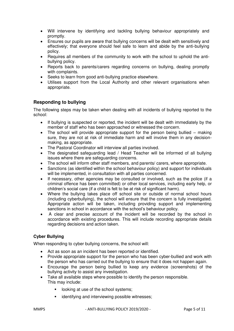- Will intervene by identifying and tackling bullying behaviour appropriately and promptly.
- Ensures our pupils are aware that bullying concerns will be dealt with sensitively and effectively; that everyone should feel safe to learn and abide by the anti-bullying policy.
- Requires all members of the community to work with the school to uphold the antibullying policy.
- Reports back to parents/carers regarding concerns on bullying, dealing promptly with complaints.
- Seeks to learn from good anti-bullying practice elsewhere.
- Utilises support from the Local Authority and other relevant organisations when appropriate.

#### **Responding to bullying**

The following steps may be taken when dealing with all incidents of bullying reported to the school:

- If bullying is suspected or reported, the incident will be dealt with immediately by the member of staff who has been approached or witnessed the concern.
- The school will provide appropriate support for the person being bullied making sure, they are not at risk of immediate harm and will involve them in any decisionmaking, as appropriate.
- The Pastoral Coordinator will interview all parties involved.
- The designated safeguarding lead / Head Teacher will be informed of all bullying issues where there are safeguarding concerns.
- The school will inform other staff members, and parents/ carers, where appropriate.
- Sanctions (as identified within the school behaviour policy) and support for individuals will be implemented, in consultation with all parties concerned.
- If necessary, other agencies may be consulted or involved, such as the police (if a criminal offence has been committed) or other local services, including early help, or children's social care (if a child is felt to be at risk of significant harm).
- Where the bullying takes place off school site or outside of normal school hours (including cyberbullying), the school will ensure that the concern is fully investigated. Appropriate action will be taken, including providing support and implementing sanctions in school in accordance with the school's behaviour policy.
- A clear and precise account of the incident will be recorded by the school in accordance with existing procedures. This will include recording appropriate details regarding decisions and action taken.

## **Cyber Bullying**

When responding to cyber bullying concerns, the school will:

- Act as soon as an incident has been reported or identified.
- Provide appropriate support for the person who has been cyber-bullied and work with the person who has carried out the bullying to ensure that it does not happen again.
- Encourage the person being bullied to keep any evidence (screenshots) of the bullying activity to assist any investigation.
- Take all available steps where possible to identify the person responsible. This may include:
	- **If** looking at use of the school systems;
	- **EXECT** identifying and interviewing possible witnesses;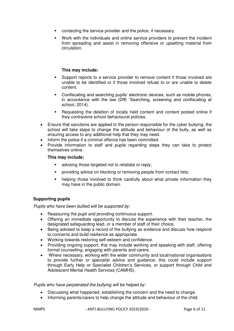- contacting the service provider and the police, if necessary.
- Work with the individuals and online service providers to prevent the incident from spreading and assist in removing offensive or upsetting material from circulation.

#### **This may include:**

- Support reports to a service provider to remove content if those involved are unable to be identified or if those involved refuse to or are unable to delete content.
- Confiscating and searching pupils' electronic devices, such as mobile phones, in accordance with the law (DfE 'Searching, screening and confiscating at school, 2014).
- Requesting the deletion of locally held content and content posted online if they contravene school behavioural policies.
- Ensure that sanctions are applied to the person responsible for the cyber bullying; the school will take steps to change the attitude and behaviour of the bully, as well as ensuring access to any additional help that they may need.
- Inform the police if a criminal offence has been committed.
- Provide information to staff and pupils regarding steps they can take to protect themselves online.

#### **This may include:**

- advising those targeted not to retaliate or reply;
- **•** providing advice on blocking or removing people from contact lists;
- helping those involved to think carefully about what private information they may have in the public domain.

#### **Supporting pupils**

*Pupils who have been bullied will be supported by:* 

- Reassuring the pupil and providing continuous support.
- Offering an immediate opportunity to discuss the experience with their teacher, the designated safeguarding lead, or a member of staff of their choice.
- Being advised to keep a record of the bullying as evidence and discuss how respond to concerns and build resilience as appropriate.
- Working towards restoring self-esteem and confidence.
- Providing ongoing support, this may include working and speaking with staff, offering formal counselling, engaging with parents and carers.
- Where necessary, working with the wider community and local/national organisations to provide further or specialist advice and guidance; this could include support through Early Help or Specialist Children's Services, or support through Child and Adolescent Mental Health Services (CAMHS).

#### *Pupils who have perpetrated the bullying will be helped by:*

- Discussing what happened, establishing the concern and the need to change.
- Informing parents/carers to help change the attitude and behaviour of the child.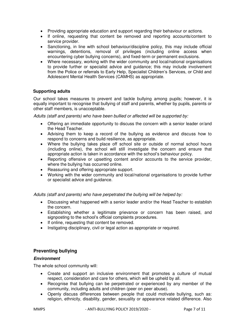- Providing appropriate education and support regarding their behaviour or actions.
- If online, requesting that content be removed and reporting accounts/content to service provider.
- Sanctioning, in line with school behaviour/discipline policy, this may include official warnings, detentions, removal of privileges (including online access when encountering cyber bullying concerns), and fixed-term or permanent exclusions.
- Where necessary, working with the wider community and local/national organisations to provide further or specialist advice and guidance; this may include involvement from the Police or referrals to Early Help, Specialist Children's Services, or Child and Adolescent Mental Health Services (CAMHS) as appropriate.

#### **Supporting adults**

Our school takes measures to prevent and tackle bullying among pupils; however, it is equally important to recognise that bullying of staff and parents, whether by pupils, parents or other staff members, is unacceptable.

*Adults (staff and parents) who have been bullied or affected will be supported by:* 

- Offering an immediate opportunity to discuss the concern with a senior leader or/and the Head Teacher.
- Advising them to keep a record of the bullying as evidence and discuss how to respond to concerns and build resilience, as appropriate.
- Where the bullying takes place off school site or outside of normal school hours (including online), the school will still investigate the concern and ensure that appropriate action is taken in accordance with the school's behaviour policy.
- Reporting offensive or upsetting content and/or accounts to the service provider, where the bullying has occurred online.
- Reassuring and offering appropriate support.
- Working with the wider community and local/national organisations to provide further or specialist advice and guidance.

#### *Adults (staff and parents) who have perpetrated the bullying will be helped by:*

- Discussing what happened with a senior leader and/or the Head Teacher to establish the concern.
- Establishing whether a legitimate grievance or concern has been raised, and signposting to the school's official complaints procedures.
- If online, requesting that content be removed.
- Instigating disciplinary, civil or legal action as appropriate or required.

#### **Preventing bullying**

#### *Environment*

The whole school community will:

- Create and support an inclusive environment that promotes a culture of mutual respect, consideration and care for others, which will be upheld by all.
- Recognise that bullying can be perpetrated or experienced by any member of the community, including adults and children (peer on peer abuse).
- Openly discuss differences between people that could motivate bullying, such as: religion, ethnicity, disability, gender, sexuality or appearance related difference. Also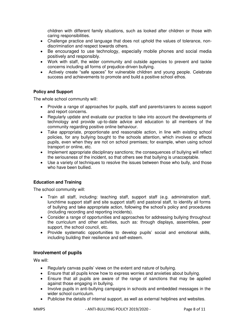children with different family situations, such as looked after children or those with caring responsibilities.

- Challenge practice and language that does not uphold the values of tolerance, nondiscrimination and respect towards others.
- Be encouraged to use technology, especially mobile phones and social media positively and responsibly.
- Work with staff, the wider community and outside agencies to prevent and tackle concerns including all forms of prejudice-driven bullying.
- Actively create "safe spaces" for vulnerable children and young people. Celebrate success and achievements to promote and build a positive school ethos.

#### **Policy and Support**

The whole school community will:

- Provide a range of approaches for pupils, staff and parents/carers to access support and report concerns.
- Regularly update and evaluate our practice to take into account the developments of technology and provide up-to-date advice and education to all members of the community regarding positive online behaviour.
- Take appropriate, proportionate and reasonable action, in line with existing school policies, for any bullying bought to the schools attention, which involves or effects pupils, even when they are not on school premises; for example, when using school transport or online, etc.
- Implement appropriate disciplinary sanctions; the consequences of bullying will reflect the seriousness of the incident, so that others see that bullying is unacceptable.
- Use a variety of techniques to resolve the issues between those who bully, and those who have been bullied.

#### **Education and Training**

The school community will:

- Train all staff, including: teaching staff, support staff (e.g. administration staff, lunchtime support staff and site support staff) and pastoral staff, to identify all forms of bullying and take appropriate action, following the school's policy and procedures (including recording and reporting incidents).
- Consider a range of opportunities and approaches for addressing bullying throughout the curriculum and other activities, such as: through displays, assemblies, peer support, the school council, etc.
- Provide systematic opportunities to develop pupils' social and emotional skills, including building their resilience and self-esteem.

#### **Involvement of pupils**

We will:

- Regularly canvas pupils' views on the extent and nature of bullying.
- Ensure that all pupils know how to express worries and anxieties about bullying.
- Ensure that all pupils are aware of the range of sanctions that may be applied against those engaging in bullying.
- Involve pupils in anti-bullying campaigns in schools and embedded messages in the wider school curriculum.
- Publicise the details of internal support, as well as external helplines and websites.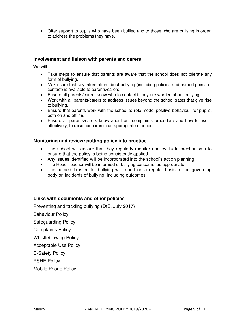Offer support to pupils who have been bullied and to those who are bullying in order to address the problems they have.

#### **Involvement and liaison with parents and carers**

We will:

- Take steps to ensure that parents are aware that the school does not tolerate any form of bullying.
- Make sure that key information about bullying (including policies and named points of contact) is available to parents/carers.
- Ensure all parents/carers know who to contact if they are worried about bullying.
- Work with all parents/carers to address issues beyond the school gates that give rise to bullying.
- Ensure that parents work with the school to role model positive behaviour for pupils, both on and offline.
- Ensure all parents/carers know about our complaints procedure and how to use it effectively, to raise concerns in an appropriate manner.

#### **Monitoring and review: putting policy into practice**

- The school will ensure that they regularly monitor and evaluate mechanisms to ensure that the policy is being consistently applied.
- Any issues identified will be incorporated into the school's action planning.
- The Head Teacher will be informed of bullying concerns, as appropriate.
- The named Trustee for bullying will report on a regular basis to the governing body on incidents of bullying, including outcomes.

#### **Links with documents and other policies**

Preventing and tackling bullying (DfE, July 2017)

Behaviour Policy

Safeguarding Policy

Complaints Policy

Whistleblowing Policy

Acceptable Use Policy

E-Safety Policy

PSHE Policy

Mobile Phone Policy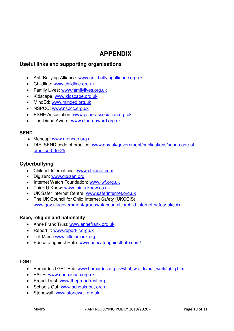# **APPENDIX**

# **Useful links and supporting organisations**

- Anti-Bullying Alliance: [www.anti-bullyingalliance.org.uk](http://www.anti-bullyingalliance.org.uk/)
- Childline: [www.childline.org.uk](http://www.childline.org.uk/)
- Family Lives: www.familylives.org.uk
- Kidscape: www.kidscape.org.uk
- MindEd: [www.minded.org.uk](http://www.minded.org.uk/)
- NSPCC: www.nspcc.org.uk
- PSHE Association: [www.pshe-association.org.uk](http://www.pshe-association.org.uk/)
- The Diana Award: www.diana-award.org.uk

#### **SEND**

- Mencap: [www.mencap.org.uk](http://www.mencap.org.uk/)
- DfE: SEND code of practice: [www.gov.uk/government/publications/send-code-of](https://www.gov.uk/government/publications/send-code-of-practice-0-to-25)[practice-0-to-25](https://www.gov.uk/government/publications/send-code-of-practice-0-to-25)

## **Cyberbullying**

- Childnet International: [www.childnet.com](http://www.childnet.com/)
- Digizen: [www.digizen.org](http://www.digizen.org/)
- Internet Watch Foundation: www.iwf.org.uk
- Think U Know: [www.thinkuknow.co.uk](http://www.thinkuknow.co.uk/)
- UK Safer Internet Centre: [www.saferinternet.org.uk](http://www.saferinternet.org.uk/)
- The UK Council for Child Internet Safety (UKCCIS) [www.gov.uk/government/groups/uk-council-forchild-internet-safety-ukccis](http://www.gov.uk/government/groups/uk-council-for-child-internet-safety-ukccis)

#### **Race, religion and nationality**

- Anne Frank Trust: [www.annefrank.org.uk](http://www.annefrank.org.uk/)
- Report it: [www.report-it.org.uk](http://www.report-it.org.uk/)
- Tell Mama[:www.tellmamauk.org](http://www.tellmamauk.org/)
- Educate against Hate: [www.educateagainsthate.com/](http://www.educateagainsthate.com/)

#### **LGBT**

- Barnardos LGBT Hub: [www.barnardos.org.uk/what\\_we\\_do/our\\_work/lgbtq.htm](http://www.barnardos.org.uk/what_we_do/our_work/lgbtq.htm)
- EACH: [www.eachaction.org.uk](http://www.eachaction.org.uk/)
- Proud Trust: [www.theproudtrust.org](http://www.theproudtrust.org/)
- Schools Out: [www.schools-out.org.uk](http://www.schools-out.org.uk/)
- Stonewall: [www.stonewall.org.uk](http://www.stonewall.org.uk/)